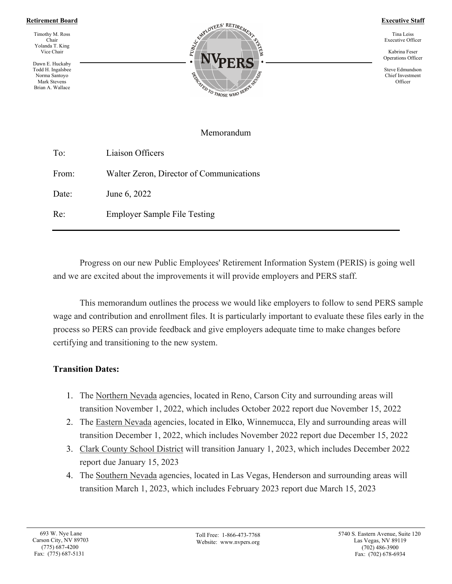### **Retirement Board**

Timothy M. Ross Chair Yolanda T. King Vice Chair

Dawn E. Huckaby Todd H. Ingalsbee Norma Santoyo Mark Stevens Brian A. Wallace



#### **Executive Staff**

Tina Leiss Executive Officer

Kabrina Feser Operations Officer

Steve Edmundson Chief Investment **Officer** 

## Memorandum

| To:   | Liaison Officers                         |
|-------|------------------------------------------|
| From: | Walter Zeron, Director of Communications |
| Date: | June 6, 2022                             |
| Re:   | <b>Employer Sample File Testing</b>      |

Progress on our new Public Employees' Retirement Information System (PERIS) is going well and we are excited about the improvements it will provide employers and PERS staff.

This memorandum outlines the process we would like employers to follow to send PERS sample wage and contribution and enrollment files. It is particularly important to evaluate these files early in the process so PERS can provide feedback and give employers adequate time to make changes before certifying and transitioning to the new system.

## **Transition Dates:**

- 1. The Northern Nevada agencies, located in Reno, Carson City and surrounding areas will transition November 1, 2022, which includes October 2022 report due November 15, 2022
- 2. The Eastern Nevada agencies, located in Elko, Winnemucca, Ely and surrounding areas will transition December 1, 2022, which includes November 2022 report due December 15, 2022
- 3. Clark County School District will transition January 1, 2023, which includes December 2022 report due January 15, 2023
- 4. The Southern Nevada agencies, located in Las Vegas, Henderson and surrounding areas will transition March 1, 2023, which includes February 2023 report due March 15, 2023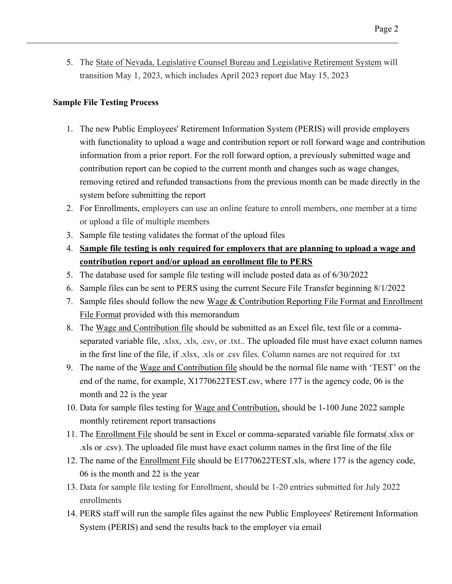5. The State of Nevada, Legislative Counsel Bureau and Legislative Retirement System will transition May 1, 2023, which includes April 2023 report due May 15, 2023

# **Sample File Testing Process**

- 1. The new Public Employees' Retirement Information System (PERIS) will provide employers with functionality to upload a wage and contribution report or roll forward wage and contribution information from a prior report. For the roll forward option, a previously submitted wage and contribution report can be copied to the current month and changes such as wage changes, removing retired and refunded transactions from the previous month can be made directly in the system before submitting the report
- 2. For Enrollments, employers can use an online feature to enroll members, one member at a time or upload a file of multiple members
- 3. Sample file testing validates the format of the upload files
- 4. **Sample file testing is only required for employers that are planning to upload a wage and contribution report and/or upload an enrollment file to PERS**
- 5. The database used for sample file testing will include posted data as of 6/30/2022
- 6. Sample files can be sent to PERS using the current Secure File Transfer beginning 8/1/2022
- 7. Sample files should follow the new Wage  $&$  Contribution Reporting File Format and Enrollment File Format provided with this memorandum
- 8. The Wage and Contribution file should be submitted as an Excel file, text file or a commaseparated variable file, .xlsx, .xls, .csv, or .txt.. The uploaded file must have exact column names in the first line of the file, if .xlsx, .xls or .csv files. Column names are not required for .txt
- 9. The name of the Wage and Contribution file should be the normal file name with 'TEST' on the end of the name, for example, X1770622TEST.csv, where 177 is the agency code, 06 is the month and 22 is the year
- 10. Data for sample files testing for Wage and Contribution, should be 1-100 June 2022 sample monthly retirement report transactions
- 11. The Enrollment File should be sent in Excel or comma-separated variable file formats(.xlsx or .xls or .csv). The uploaded file must have exact column names in the first line of the file
- 12. The name of the Enrollment File should be E1770622TEST.xls, where 177 is the agency code, 06 is the month and 22 is the year
- 13. Data for sample file testing for Enrollment, should be 1-20 entries submitted for July 2022 enrollments
- 14. PERS staff will run the sample files against the new Public Employees' Retirement Information System (PERIS) and send the results back to the employer via email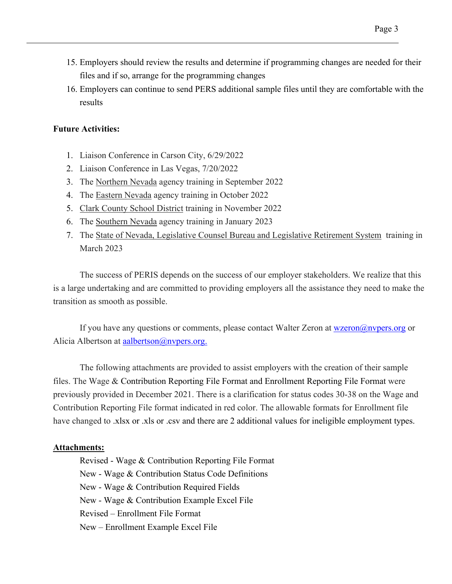- 15. Employers should review the results and determine if programming changes are needed for their files and if so, arrange for the programming changes
- 16. Employers can continue to send PERS additional sample files until they are comfortable with the results

## **Future Activities:**

- 1. Liaison Conference in Carson City, 6/29/2022
- 2. Liaison Conference in Las Vegas, 7/20/2022
- 3. The Northern Nevada agency training in September 2022
- 4. The Eastern Nevada agency training in October 2022
- 5. Clark County School District training in November 2022
- 6. The Southern Nevada agency training in January 2023
- 7. The State of Nevada, Legislative Counsel Bureau and Legislative Retirement System training in March 2023

The success of PERIS depends on the success of our employer stakeholders. We realize that this is a large undertaking and are committed to providing employers all the assistance they need to make the transition as smooth as possible.

If you have any questions or comments, please contact Walter Zeron at [wzeron@nvpers.org](mailto:wzeron@nvpers.org) or Alicia Albertson at aalbertson $@$ nvpers.org.

The following attachments are provided to assist employers with the creation of their sample files. The Wage & Contribution Reporting File Format and Enrollment Reporting File Format were previously provided in December 2021. There is a clarification for status codes 30-38 on the Wage and Contribution Reporting File format indicated in red color. The allowable formats for Enrollment file have changed to .xlsx or .xls or .csv and there are 2 additional values for ineligible employment types.

## **Attachments:**

Revised - Wage & Contribution Reporting File Format New - Wage & Contribution Status Code Definitions New - Wage & Contribution Required Fields New - Wage & Contribution Example Excel File Revised – Enrollment File Format New – Enrollment Example Excel File